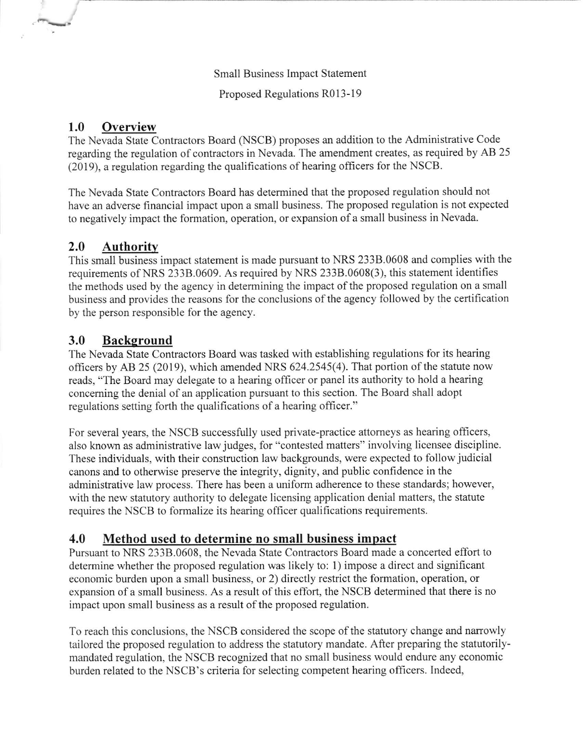Small Business Impact Statement

Proposed Regulations R013-19

#### 1.0 Overview

The Nevada State Contractors Board (NSCB) proposes an addition to the Administrative Code regarding the regulation of contractors in Nevada. The amendment creates, as required by AB 25  $(2019)$ , a regulation regarding the qualifications of hearing officers for the NSCB.

The Nevada State Contractors Board has determined that the proposed regulation should not have an adverse financial impact upon a small business. The proposed regulation is not expected to negatively impact the formation, operation, or expansion of a small business in Nevada.

# 2.0 Authoritv

This small business impact statement is made pursuant to NRS 2338.0608 and complies with the requirements of NRS 2338.0609. As required by NRS 233B.0608(3), this statement identifies the methods used by the agency in determining the impact of the proposed regulation on a small business and provides the reasons for the conclusions of the agency followed by the certification by the person responsible for the agency.

## 3.0 Background

The Nevada State Contractors Board was tasked with establishing regulations for its hearing officers by AB 25 (2019), which amended NRS 624.2545(4). That portion of the statute now reads, "The Board may delegate to a hearing officer or panel its authority to hold a hearing concerning the denial of an application pursuant to this section. The Board shall adopt regulations setting forth the qualifications of a hearing officer."

For several years, the NSCB successfully used private-practice attomeys as hearing officers, also known as administrative law judges, for "contested matters" involving licensee discipline These individuals, with their construction law backgrounds, were expected to follow judicial canons and to otherwise preserve the integrity, dignity, and public confidence in the administrative law process. There has been a uniform adherence to these standards; however, with the new statutory authority to delegate licensing application denial matters, the statute requires the NSCB to formalize its hearing officer qualifications requirements.

## 4.0 Method used to determine no small business impact

Pursuant to NRS 2338.0608, the Nevada State Contractors Board made a concerted effort to determine whether the proposed regulation was likely to: 1) impose a direct and significant economic burden upon a small business, or 2) directly restrict the formation, operation, or expansion of a small business. As a result of this effort, the NSCB determined that there is no impact upon small business as a result of the proposed regulation.

To reach this conclusions, the NSCB considered the scope of the statutory change and narrowly tailored the proposed regulation to address the statutory mandate. After preparing the statutorilymandated regulation, the NSCB recognized that no small business would endure any economic burden related to the NSCB's criteria for selecting competent hearing officers. Indeed,